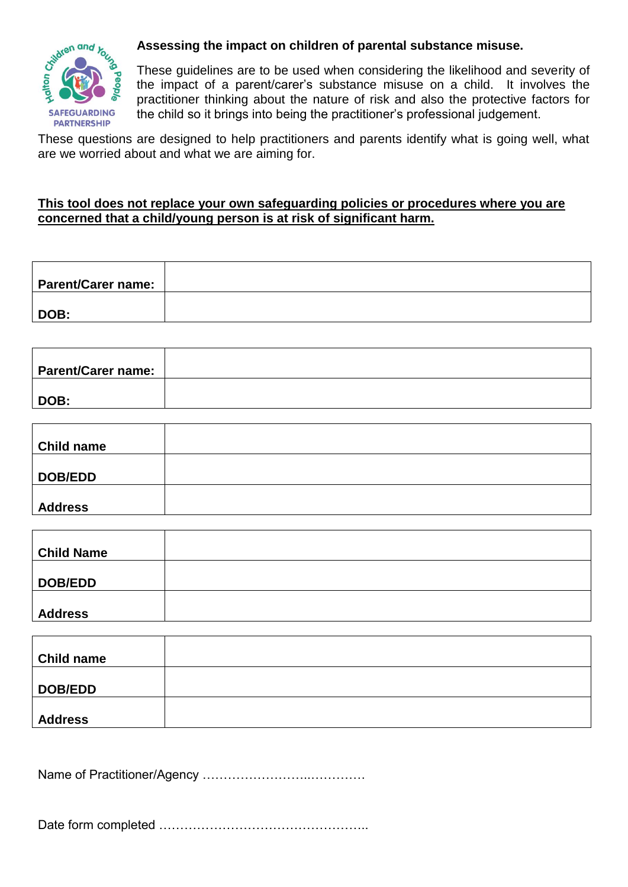

## **Assessing the impact on children of parental substance misuse.**

These guidelines are to be used when considering the likelihood and severity of the impact of a parent/carer's substance misuse on a child. It involves the practitioner thinking about the nature of risk and also the protective factors for the child so it brings into being the practitioner's professional judgement.

These questions are designed to help practitioners and parents identify what is going well, what are we worried about and what we are aiming for.

## **This tool does not replace your own safeguarding policies or procedures where you are concerned that a child/young person is at risk of significant harm.**

| <b>Parent/Carer name:</b> |  |
|---------------------------|--|
| DOB:                      |  |

| <b>Parent/Carer name:</b> |  |
|---------------------------|--|
|                           |  |
| DOB:                      |  |
|                           |  |

| <b>Child name</b> |  |
|-------------------|--|
| DOB/EDD           |  |
| <b>Address</b>    |  |

| <b>Child Name</b> |  |
|-------------------|--|
| DOB/EDD           |  |
| <b>Address</b>    |  |

| <b>Child name</b> |  |
|-------------------|--|
| DOB/EDD           |  |
| <b>Address</b>    |  |

Name of Practitioner/Agency ……………………..………….

Date form completed …………………………………………..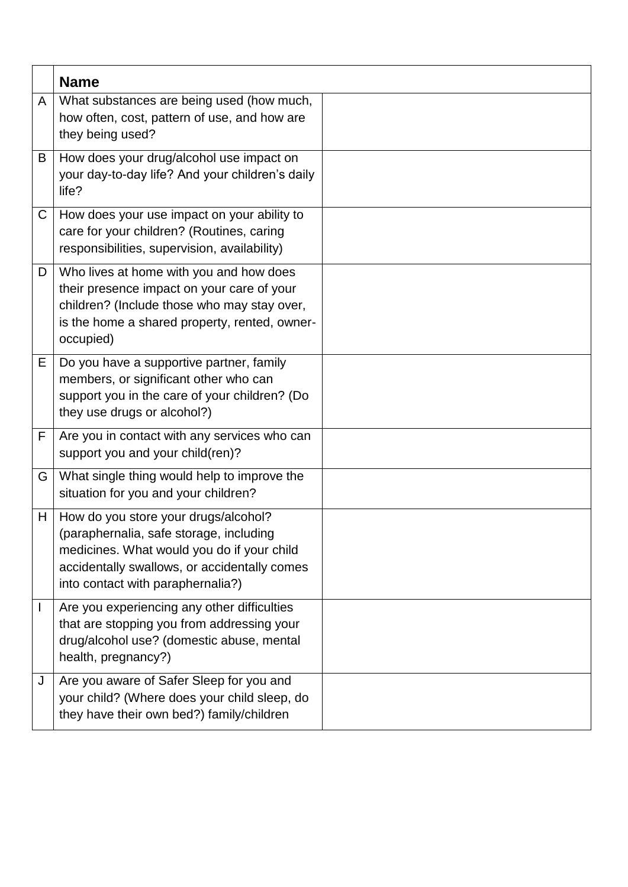|              | <b>Name</b>                                                                                                                                                                                                        |  |
|--------------|--------------------------------------------------------------------------------------------------------------------------------------------------------------------------------------------------------------------|--|
| A            | What substances are being used (how much,<br>how often, cost, pattern of use, and how are<br>they being used?                                                                                                      |  |
| B            | How does your drug/alcohol use impact on<br>your day-to-day life? And your children's daily<br>life?                                                                                                               |  |
| C            | How does your use impact on your ability to<br>care for your children? (Routines, caring<br>responsibilities, supervision, availability)                                                                           |  |
| D            | Who lives at home with you and how does<br>their presence impact on your care of your<br>children? (Include those who may stay over,<br>is the home a shared property, rented, owner-<br>occupied)                 |  |
| Е            | Do you have a supportive partner, family<br>members, or significant other who can<br>support you in the care of your children? (Do<br>they use drugs or alcohol?)                                                  |  |
| F            | Are you in contact with any services who can<br>support you and your child(ren)?                                                                                                                                   |  |
| G            | What single thing would help to improve the<br>situation for you and your children?                                                                                                                                |  |
| H            | How do you store your drugs/alcohol?<br>(paraphernalia, safe storage, including<br>medicines. What would you do if your child<br>accidentally swallows, or accidentally comes<br>into contact with paraphernalia?) |  |
| $\mathbf{I}$ | Are you experiencing any other difficulties<br>that are stopping you from addressing your<br>drug/alcohol use? (domestic abuse, mental<br>health, pregnancy?)                                                      |  |
| J            | Are you aware of Safer Sleep for you and<br>your child? (Where does your child sleep, do<br>they have their own bed?) family/children                                                                              |  |